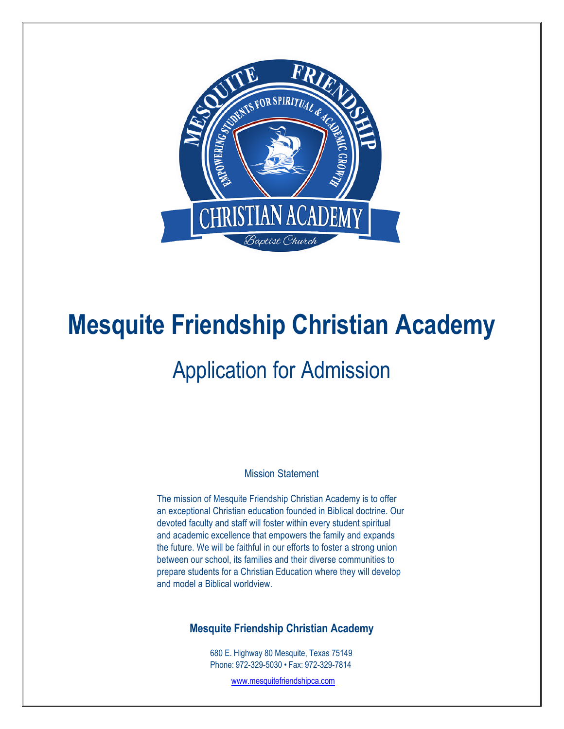

# **Mesquite Friendship Christian Academy**

## Application for Admission

Mission Statement

The mission of Mesquite Friendship Christian Academy is to offer an exceptional Christian education founded in Biblical doctrine. Our devoted faculty and staff will foster within every student spiritual and academic excellence that empowers the family and expands the future. We will be faithful in our efforts to foster a strong union between our school, its families and their diverse communities to prepare students for a Christian Education where they will develop and model a Biblical worldview.

### **Mesquite Friendship Christian Academy**

680 E. Highway 80 Mesquite, Texas 75149 Phone: 972-329-5030 • Fax: 972-329-7814

www.mesquitefriendshipca.com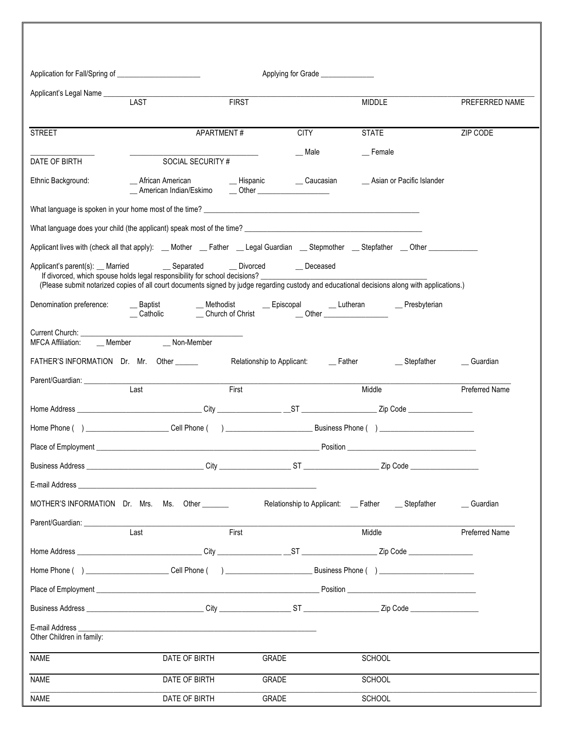| Application for Fall/Spring of ___________________________        |                                                                                                                                                                                                                                                                                                                        |              | Applying for Grade ________________ |                                                     |                |  |
|-------------------------------------------------------------------|------------------------------------------------------------------------------------------------------------------------------------------------------------------------------------------------------------------------------------------------------------------------------------------------------------------------|--------------|-------------------------------------|-----------------------------------------------------|----------------|--|
|                                                                   |                                                                                                                                                                                                                                                                                                                        |              |                                     |                                                     |                |  |
|                                                                   | <b>LAST</b>                                                                                                                                                                                                                                                                                                            | <b>FIRST</b> |                                     | MIDDLE                                              | PREFERRED NAME |  |
| <b>STREET</b>                                                     | APARTMENT#                                                                                                                                                                                                                                                                                                             |              | <b>CITY</b>                         | <b>STATE</b>                                        | ZIP CODE       |  |
|                                                                   |                                                                                                                                                                                                                                                                                                                        |              | Male                                | <sub>__</sub> Female                                |                |  |
| DATE OF BIRTH                                                     | SOCIAL SECURITY #                                                                                                                                                                                                                                                                                                      |              |                                     |                                                     |                |  |
| Ethnic Background:                                                | __ African American _____________ Hispanic ________ Caucasian<br>__ American Indian/Eskimo ____ Other __________________                                                                                                                                                                                               |              |                                     | __ Asian or Pacific Islander                        |                |  |
|                                                                   |                                                                                                                                                                                                                                                                                                                        |              |                                     |                                                     |                |  |
|                                                                   |                                                                                                                                                                                                                                                                                                                        |              |                                     |                                                     |                |  |
|                                                                   | Applicant lives with (check all that apply): __Mother __Father __Legal Guardian __Stepmother __Stepfather __Other ___________                                                                                                                                                                                          |              |                                     |                                                     |                |  |
|                                                                   | Applicant's parent(s): __ Married __ _ _ _ _ Separated __ _ _ _ Divorced __ _ _ Deceased<br>If divorced, which spouse holds legal responsibility for school decisions?<br>(Please submit notarized copies of all court documents signed by judge regarding custody and educational decisions along with applications.) |              |                                     |                                                     |                |  |
| Denomination preference:                                          | __ Baptist ___ __ __ Methodist ___ __ Episcopal ___ __ Lutheran ___ __ __ Presbyterian __ Catholic ___ __ Church of Christ ___ __ __ __ ___ ___ ___                                                                                                                                                                    |              |                                     |                                                     |                |  |
| Current Church: ________________<br>MFCA Affiliation: ____ Member | Non-Member                                                                                                                                                                                                                                                                                                             |              |                                     |                                                     |                |  |
|                                                                   | FATHER'S INFORMATION Dr. Mr. Other _______ Relationship to Applicant: _____Father ____________Stepfather                                                                                                                                                                                                               |              |                                     |                                                     | Guardian       |  |
| Parent/Guardian:                                                  |                                                                                                                                                                                                                                                                                                                        |              |                                     |                                                     |                |  |
|                                                                   | Last                                                                                                                                                                                                                                                                                                                   | First        |                                     | Middle                                              | Preferred Name |  |
|                                                                   |                                                                                                                                                                                                                                                                                                                        |              |                                     |                                                     |                |  |
|                                                                   |                                                                                                                                                                                                                                                                                                                        |              |                                     |                                                     |                |  |
|                                                                   |                                                                                                                                                                                                                                                                                                                        |              |                                     |                                                     |                |  |
| <b>Business Address</b>                                           | City                                                                                                                                                                                                                                                                                                                   |              | ST.                                 | Zip Code                                            |                |  |
|                                                                   | E-mail Address and the control of the control of the control of the control of the control of the control of the control of the control of the control of the control of the control of the control of the control of the cont                                                                                         |              |                                     |                                                     |                |  |
|                                                                   | MOTHER'S INFORMATION Dr. Mrs. Ms. Other _______                                                                                                                                                                                                                                                                        |              |                                     | Relationship to Applicant: __ Father ___ Stepfather | _ Guardian     |  |
| Parent/Guardian: Parent                                           | Last                                                                                                                                                                                                                                                                                                                   | First        |                                     | Middle                                              | Preferred Name |  |
|                                                                   |                                                                                                                                                                                                                                                                                                                        |              |                                     |                                                     |                |  |
|                                                                   | Home Phone ( ) _____________________________Cell Phone ( ) _____________________                                                                                                                                                                                                                                       |              |                                     |                                                     |                |  |
|                                                                   |                                                                                                                                                                                                                                                                                                                        |              |                                     |                                                     |                |  |
|                                                                   |                                                                                                                                                                                                                                                                                                                        |              |                                     |                                                     |                |  |
|                                                                   |                                                                                                                                                                                                                                                                                                                        |              |                                     |                                                     |                |  |
| Other Children in family:                                         |                                                                                                                                                                                                                                                                                                                        |              |                                     |                                                     |                |  |
|                                                                   | DATE OF BIRTH                                                                                                                                                                                                                                                                                                          | GRADE        |                                     | <b>SCHOOL</b>                                       |                |  |
| <b>NAME</b><br><b>NAME</b>                                        | DATE OF BIRTH                                                                                                                                                                                                                                                                                                          | GRADE        |                                     | SCHOOL                                              |                |  |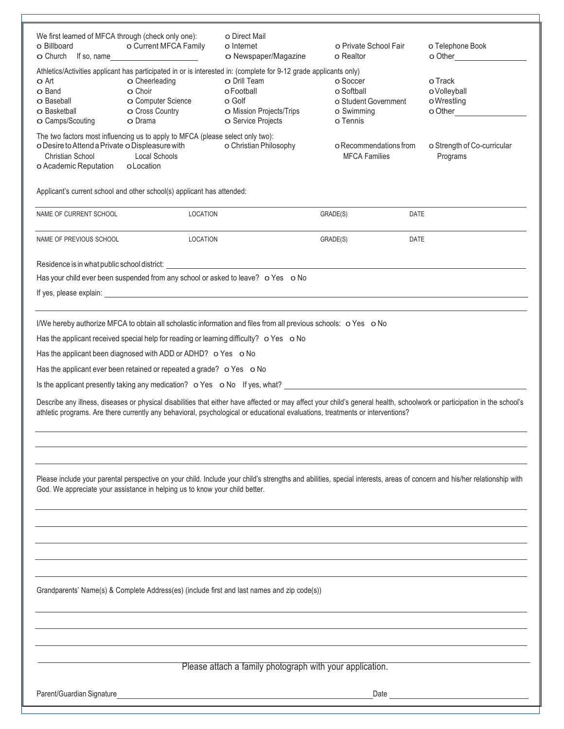| We first learned of MFCA through (check only one):<br>o Billboard<br>O Church If so, name                                                                                                                                                                                                                 | o Current MFCA Family<br><u> 1990 - Johann Barn, mars ann an t-Saint-Saint-Saint-Saint-Saint-Saint-Saint-Saint-Saint-Saint-Saint-Saint-Sain</u>                                                           | o Direct Mail<br>o Internet<br>O Newspaper/Magazine                                    | o Private School Fair<br>o Realtor                                       | o Telephone Book<br>o Other                      |  |  |  |  |
|-----------------------------------------------------------------------------------------------------------------------------------------------------------------------------------------------------------------------------------------------------------------------------------------------------------|-----------------------------------------------------------------------------------------------------------------------------------------------------------------------------------------------------------|----------------------------------------------------------------------------------------|--------------------------------------------------------------------------|--------------------------------------------------|--|--|--|--|
| <b>o</b> Art<br><b>O</b> Band<br>O Baseball<br>O Basketball<br>O Camps/Scouting                                                                                                                                                                                                                           | Athletics/Activities applicant has participated in or is interested in: (complete for 9-12 grade applicants only)<br><b>o</b> Cheerleading<br>o Choir<br>O Computer Science<br>O Cross Country<br>o Drama | O Drill Team<br>o Football<br>o Golf<br>O Mission Projects/Trips<br>O Service Projects | o Soccer<br>o Softball<br>o Student Government<br>o Swimming<br>o Tennis | o Track<br>oVolleyball<br>o Wrestling<br>o Other |  |  |  |  |
| o Desire to Attend a Private o Displeasure with<br>Christian School<br>o Academic Reputation                                                                                                                                                                                                              | The two factors most influencing us to apply to MFCA (please select only two):<br><b>Local Schools</b><br>oLocation                                                                                       | o Christian Philosophy                                                                 | o Recommendations from<br><b>MFCA Families</b>                           | o Strength of Co-curricular<br>Programs          |  |  |  |  |
| Applicant's current school and other school(s) applicant has attended:                                                                                                                                                                                                                                    |                                                                                                                                                                                                           |                                                                                        |                                                                          |                                                  |  |  |  |  |
| NAME OF CURRENT SCHOOL                                                                                                                                                                                                                                                                                    | <b>LOCATION</b>                                                                                                                                                                                           |                                                                                        | GRADE(S)                                                                 | <b>DATE</b>                                      |  |  |  |  |
| NAME OF PREVIOUS SCHOOL                                                                                                                                                                                                                                                                                   | <b>LOCATION</b>                                                                                                                                                                                           |                                                                                        | GRADE(S)                                                                 | <b>DATE</b>                                      |  |  |  |  |
| Residence is in what public school district:<br>Has your child ever been suspended from any school or asked to leave? o Yes o No                                                                                                                                                                          |                                                                                                                                                                                                           |                                                                                        |                                                                          |                                                  |  |  |  |  |
| I/We hereby authorize MFCA to obtain all scholastic information and files from all previous schools: o Yes o No                                                                                                                                                                                           |                                                                                                                                                                                                           |                                                                                        |                                                                          |                                                  |  |  |  |  |
|                                                                                                                                                                                                                                                                                                           | Has the applicant received special help for reading or learning difficulty? o Yes o No                                                                                                                    |                                                                                        |                                                                          |                                                  |  |  |  |  |
| Has the applicant been diagnosed with ADD or ADHD? o Yes o No                                                                                                                                                                                                                                             |                                                                                                                                                                                                           |                                                                                        |                                                                          |                                                  |  |  |  |  |
| Has the applicant ever been retained or repeated a grade? o Yes o No                                                                                                                                                                                                                                      |                                                                                                                                                                                                           |                                                                                        |                                                                          |                                                  |  |  |  |  |
| Is the applicant presently taking any medication? o Yes o No If yes, what?                                                                                                                                                                                                                                |                                                                                                                                                                                                           |                                                                                        |                                                                          |                                                  |  |  |  |  |
| Describe any illness, diseases or physical disabilities that either have affected or may affect your child's general health, schoolwork or participation in the school's<br>athletic programs. Are there currently any behavioral, psychological or educational evaluations, treatments or interventions? |                                                                                                                                                                                                           |                                                                                        |                                                                          |                                                  |  |  |  |  |
|                                                                                                                                                                                                                                                                                                           |                                                                                                                                                                                                           |                                                                                        |                                                                          |                                                  |  |  |  |  |
| Please include your parental perspective on your child. Include your child's strengths and abilities, special interests, areas of concern and his/her relationship with<br>God. We appreciate your assistance in helping us to know your child better.                                                    |                                                                                                                                                                                                           |                                                                                        |                                                                          |                                                  |  |  |  |  |
|                                                                                                                                                                                                                                                                                                           |                                                                                                                                                                                                           |                                                                                        |                                                                          |                                                  |  |  |  |  |
|                                                                                                                                                                                                                                                                                                           |                                                                                                                                                                                                           |                                                                                        |                                                                          |                                                  |  |  |  |  |
| Grandparents' Name(s) & Complete Address(es) (include first and last names and zip code(s))                                                                                                                                                                                                               |                                                                                                                                                                                                           |                                                                                        |                                                                          |                                                  |  |  |  |  |
|                                                                                                                                                                                                                                                                                                           |                                                                                                                                                                                                           |                                                                                        |                                                                          |                                                  |  |  |  |  |

Please attach a family photograph with your application.

Parent/Guardian Signature Date